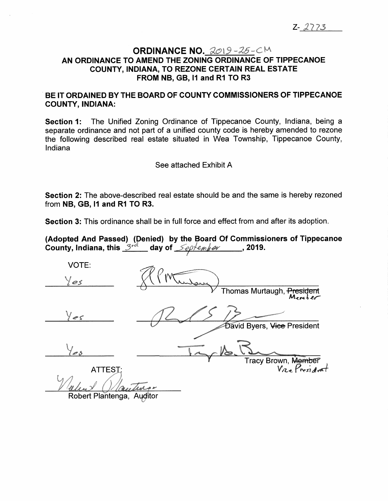## **ORDINANCE NO. AN ORDINANCE TO AMEND THE ZONING ORDINANCE OF TIPPECANOE COUNTY, INDIANA, TO REZONE CERTAIN REAL ESTATE FROM NB, GB, <sup>11</sup> and R1 TO R3**

**BE IT ORDAINED BY THE BOARD OF COUNTY COMMISSIONERS OF TIPPECANOE COUNTY, INDIANA:**

**Section 1:** The Unified Zoning Ordinance of Tippecanoe County, Indiana, being a separate ordinance and not part of a unified county code is hereby amended to rezone the following described real estate situated in Wea Township, Tippecanoe County, Indiana

See attached Exhibit A

**Section 2:** The above-described real estate should be and the same is hereby rezoned from **NB, GB, <sup>11</sup> and R1 TO R3.**

**Section 3:** This ordinance shall be in full force and effect from and after its adoption.

**(Adopted And Passed) (Denied) by the Board Of Commissioners of Tippecanoe County, Indiana, this**  $3^{rd}$  day of  $\leq e^{f}$  *emper* , 2019.

VOTE: *0* Thomas Murtaugh, <del>President</del> **David Byers, Vice President** Tracv Brown, Me<del>mbe</del>i ATTEST: *r \* sl* Robert Plantenga, Auditor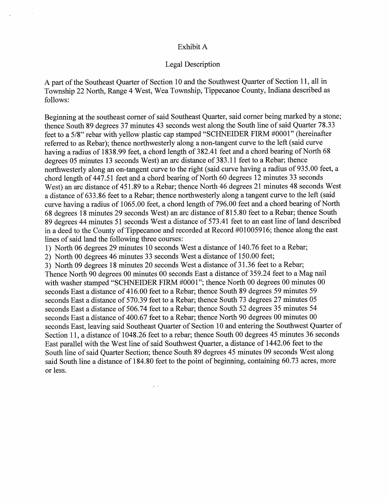## Exhibit A

## Legal Description

A par<sup>t</sup> of the Southeast Quarter of Section <sup>10</sup> and the Southwest Quarter of Section <sup>11</sup>, all in Township <sup>22</sup> North, Range <sup>4</sup> West, Wea Township, Tippecanoe County, Indiana described as follows:

Beginning at the southeast corner of said Southeast Quarter, said corner being marked by a stone; thence South 89 degrees <sup>37</sup> minutes <sup>43</sup> seconds west along the South line of said Quarter 78.33 feet to <sup>a</sup> 5/8" rebar with yellow <sup>p</sup>lastic cap stamped "SCHNEIDER FIRM #0001" (hereinafter referred to as Rebar); thence northwesterly along <sup>a</sup> non-tangent curve to the left (said curve having <sup>a</sup> radius of 1838.99 feet, <sup>a</sup> chord length of 382.41 feet and <sup>a</sup> chord bearing of North <sup>68</sup> degrees <sup>05</sup> minutes <sup>13</sup> seconds West) an arc distance of 383.11 feet to <sup>a</sup> Rebar; thence northwesterly along an on-tangent curve to the right (said curve having <sup>a</sup> radius of 935.00 feet, <sup>a</sup> chord length of 447.51 feet and <sup>a</sup> chord bearing of North 60 degrees <sup>12</sup> minutes <sup>33</sup> seconds West) an arc distance of 451.89 to <sup>a</sup> Rebar; thence North <sup>46</sup> degrees <sup>21</sup> minutes <sup>48</sup> seconds West <sup>a</sup> distance of 633.86 feet to <sup>a</sup> Rebar; thence northwesterly along <sup>a</sup> tangent curve to the left (said curve having <sup>a</sup> radius of 1065.00 feet, <sup>a</sup> chord length of 796.00 feet and <sup>a</sup> chord bearing of North <sup>68</sup> degrees <sup>18</sup> minutes <sup>29</sup> seconds West) an arc distance of 815.80 feet to <sup>a</sup> Rebar; thence South <sup>89</sup> degrees <sup>44</sup> minutes <sup>51</sup> seconds West <sup>a</sup> distance of 573.41 feet to an east line of land described in <sup>a</sup> deed to the County of Tippecanoe and recorded at Record #01005916; thence along the east lines of said land the following three courses:

<sup>1</sup>) North <sup>06</sup> degrees <sup>29</sup> minutes <sup>10</sup> seconds West <sup>a</sup> distance of 140.76 feet to <sup>a</sup> Rebar;

<sup>2</sup>) North <sup>00</sup> degrees <sup>46</sup> minutes <sup>33</sup> seconds West <sup>a</sup> distance of 150.00 feet;

3) North <sup>09</sup> degrees <sup>18</sup> minutes <sup>20</sup> seconds West <sup>a</sup> distance of 31.36 feet to <sup>a</sup> Rebar; Thence North <sup>90</sup> degrees <sup>00</sup> minutes <sup>00</sup> seconds East <sup>a</sup> distance of 359.24 feet to <sup>a</sup> Mag nail with washer stamped "SCHNEIDER FIRM #0001"; thence North 00 degrees 00 minutes 00 seconds East <sup>a</sup> distance of 416.00 feet to <sup>a</sup> Rebar; thence South 89 degrees 59 minutes 59 seconds East <sup>a</sup> distance of 570.39 feet to <sup>a</sup> Rebar; thence South 73 degrees 27 minutes 05 seconds East <sup>a</sup> distance of 506.74 feet to <sup>a</sup> Rebar; thence South 52 degrees 35 minutes 54 seconds East <sup>a</sup> distance of 400.67 feet to <sup>a</sup> Rebar; thence North 90 degrees 00 minutes 00 seconds East, leaving said Southeast Quarter of Section <sup>10</sup> and entering the Southwest Quarter of Section <sup>11</sup>, <sup>a</sup> distance of 1048.26 feet to <sup>a</sup> rebar; thence South 00 degrees 45 minutes 36 seconds East parallel with the West line of said Southwest Quarter, <sup>a</sup> distance of 1442.06 feet to the South line of said Quarter Section; thence South 89 degrees 45 minutes 09 seconds West along said South line <sup>a</sup> distance of 184.80 feet to the point of beginning, containing 60.73 acres, more or less.